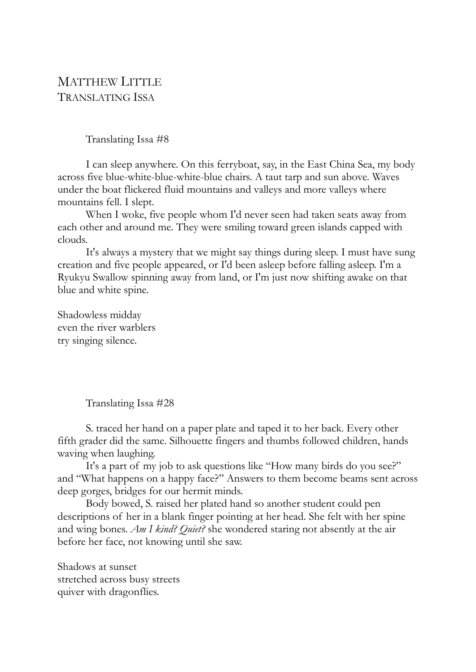## MATTHEW LITTLE TRANSLATING ISSA

Translating Issa #8

I can sleep anywhere. On this ferryboat, say, in the East China Sea, my body across five blue-white-blue-white-blue chairs. A taut tarp and sun above. Waves under the boat flickered fluid mountains and valleys and more valleys where mountains fell. I slept.

When I woke, five people whom I'd never seen had taken seats away from each other and around me. They were smiling toward green islands capped with clouds.

It's always a mystery that we might say things during sleep. I must have sung creation and five people appeared, or I'd been asleep before falling asleep. I'm a Ryukyu Swallow spinning away from land, or I'm just now shifting awake on that blue and white spine.

Shadowless midday even the river warblers try singing silence.

Translating Issa #28

S. traced her hand on a paper plate and taped it to her back. Every other fifth grader did the same. Silhouette fingers and thumbs followed children, hands waving when laughing.

It's a part of my job to ask questions like "How many birds do you see?" and "What happens on a happy face?" Answers to them become beams sent across deep gorges, bridges for our hermit minds.

Body bowed, S. raised her plated hand so another student could pen descriptions of her in a blank finger pointing at her head. She felt with her spine and wing bones. *Am I kind? Quiet?* she wondered staring not absently at the air before her face, not knowing until she saw.

Shadows at sunset stretched across busy streets quiver with dragonflies.